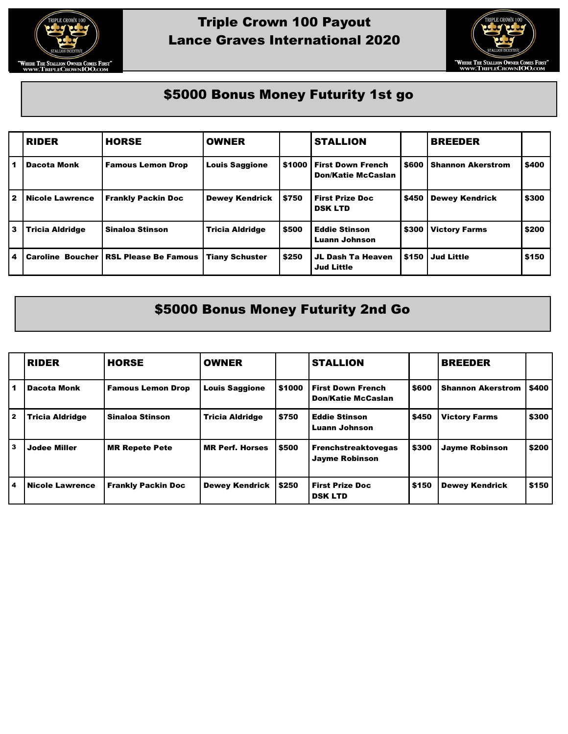

## Triple Crown 100 Payout Lance Graves International 2020



## \$5000 Bonus Money Futurity 1st go

|                | <b>RIDER</b>           | <b>HORSE</b>                                   | <b>OWNER</b>           |        | <b>STALLION</b>                                       |       | <b>BREEDER</b>           |       |
|----------------|------------------------|------------------------------------------------|------------------------|--------|-------------------------------------------------------|-------|--------------------------|-------|
|                | <b>Dacota Monk</b>     | <b>Famous Lemon Drop</b>                       | <b>Louis Saggione</b>  | \$1000 | <b>First Down French</b><br><b>Don/Katie McCaslan</b> | \$600 | <b>Shannon Akerstrom</b> | \$400 |
| l 2            | <b>Nicole Lawrence</b> | <b>Frankly Packin Doc</b>                      | <b>Dewey Kendrick</b>  | \$750  | <b>First Prize Doc</b><br><b>DSK LTD</b>              | \$450 | <b>Dewey Kendrick</b>    | \$300 |
| l 3            | <b>Tricia Aldridge</b> | Sinaloa Stinson                                | <b>Tricia Aldridge</b> | \$500  | <b>Eddie Stinson</b><br>Luann Johnson                 | \$300 | <b>Victory Farms</b>     | \$200 |
| $\overline{4}$ |                        | <b>Caroline Boucher   RSL Please Be Famous</b> | <b>Tiany Schuster</b>  | \$250  | JL Dash Ta Heaven<br><b>Jud Little</b>                | \$150 | <b>Jud Little</b>        | \$150 |

## \$5000 Bonus Money Futurity 2nd Go

|   | <b>RIDER</b>           | <b>HORSE</b>              | <b>OWNER</b>           |        | <b>STALLION</b>                                       |       | <b>BREEDER</b>           |       |
|---|------------------------|---------------------------|------------------------|--------|-------------------------------------------------------|-------|--------------------------|-------|
|   | <b>Dacota Monk</b>     | <b>Famous Lemon Drop</b>  | <b>Louis Saggione</b>  | \$1000 | <b>First Down French</b><br><b>Don/Katie McCaslan</b> | \$600 | <b>Shannon Akerstrom</b> | \$400 |
| 2 | <b>Tricia Aldridge</b> | Sinaloa Stinson           | <b>Tricia Aldridge</b> | \$750  | <b>Eddie Stinson</b><br>Luann Johnson                 | \$450 | <b>Victory Farms</b>     | \$300 |
| 3 | <b>Jodee Miller</b>    | <b>MR Repete Pete</b>     | <b>MR Perf. Horses</b> | \$500  | <b>Frenchstreaktovegas</b><br><b>Jayme Robinson</b>   | \$300 | <b>Jayme Robinson</b>    | \$200 |
| 4 | <b>Nicole Lawrence</b> | <b>Frankly Packin Doc</b> | <b>Dewey Kendrick</b>  | \$250  | <b>First Prize Doc</b><br><b>DSK LTD</b>              | \$150 | <b>Dewey Kendrick</b>    | \$150 |